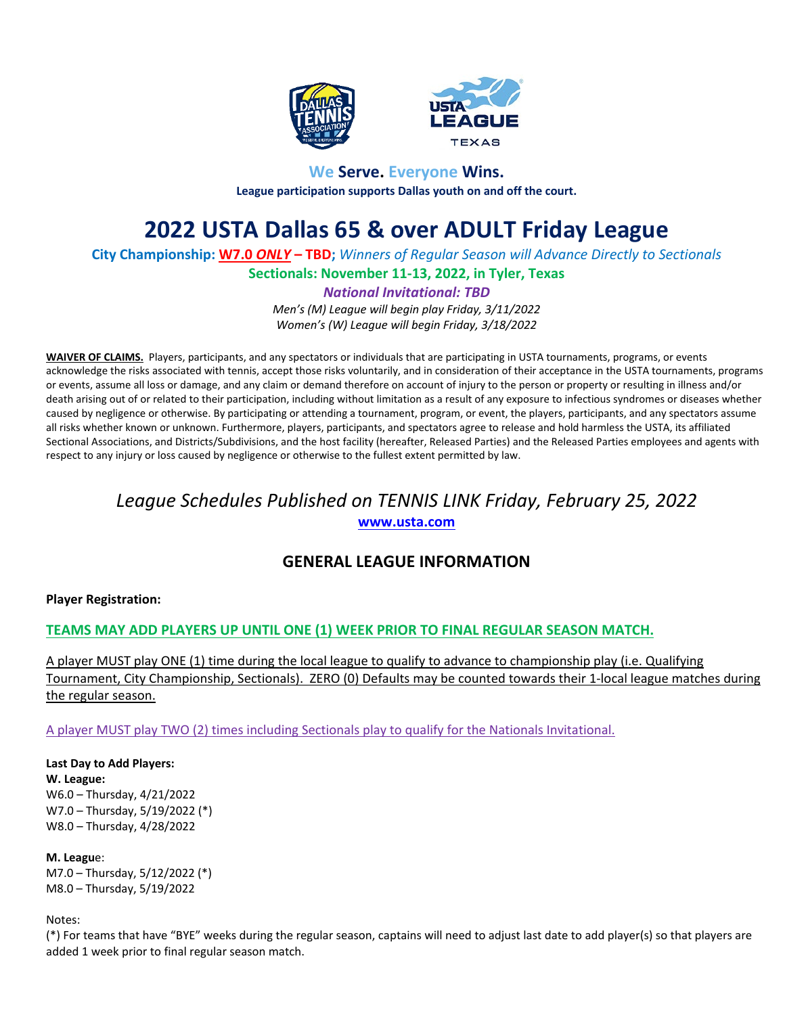



# **We Serve. Everyone Wins. League participation supports Dallas youth on and off the court.**

# **2022 USTA Dallas 65 & over ADULT Friday League**

**City Championship: W7.0** *ONLY* **– TBD;** *Winners of Regular Season will Advance Directly to Sectionals*

**Sectionals: November 11-13, 2022, in Tyler, Texas**

*National Invitational: TBD*

*Men's (M) League will begin play Friday, 3/11/2022 Women's (W) League will begin Friday, 3/18/2022*

**WAIVER OF CLAIMS.** Players, participants, and any spectators or individuals that are participating in USTA tournaments, programs, or events acknowledge the risks associated with tennis, accept those risks voluntarily, and in consideration of their acceptance in the USTA tournaments, programs or events, assume all loss or damage, and any claim or demand therefore on account of injury to the person or property or resulting in illness and/or death arising out of or related to their participation, including without limitation as a result of any exposure to infectious syndromes or diseases whether caused by negligence or otherwise. By participating or attending a tournament, program, or event, the players, participants, and any spectators assume all risks whether known or unknown. Furthermore, players, participants, and spectators agree to release and hold harmless the USTA, its affiliated Sectional Associations, and Districts/Subdivisions, and the host facility (hereafter, Released Parties) and the Released Parties employees and agents with respect to any injury or loss caused by negligence or otherwise to the fullest extent permitted by law.

# *League Schedules Published on TENNIS LINK Friday, February 25, 2022* **[www.usta.com](http://www.usta.com/)**

# **GENERAL LEAGUE INFORMATION**

# **Player Registration:**

# **TEAMS MAY ADD PLAYERS UP UNTIL ONE (1) WEEK PRIOR TO FINAL REGULAR SEASON MATCH.**

A player MUST play ONE (1) time during the local league to qualify to advance to championship play (i.e. Qualifying Tournament, City Championship, Sectionals). ZERO (0) Defaults may be counted towards their 1-local league matches during the regular season.

A player MUST play TWO (2) times including Sectionals play to qualify for the Nationals Invitational.

**Last Day to Add Players: W. League:** W6.0 – Thursday, 4/21/2022 W7.0 – Thursday, 5/19/2022 (\*) W8.0 – Thursday, 4/28/2022

**M. Leagu**e: M7.0 – Thursday, 5/12/2022 (\*) M8.0 – Thursday, 5/19/2022

Notes:

(\*) For teams that have "BYE" weeks during the regular season, captains will need to adjust last date to add player(s) so that players are added 1 week prior to final regular season match.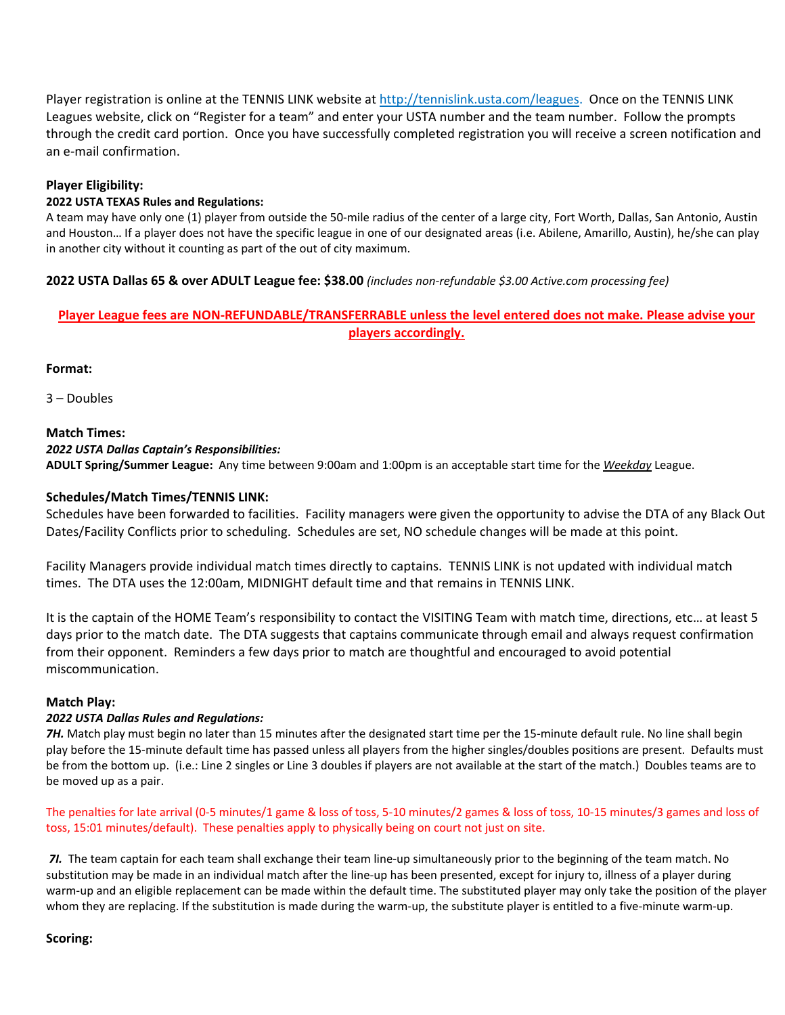Player registration is online at the TENNIS LINK website at [http://tennislink.usta.com/leagues.](http://tennislink.usta.com/leagues) Once on the TENNIS LINK Leagues website, click on "Register for a team" and enter your USTA number and the team number. Follow the prompts through the credit card portion. Once you have successfully completed registration you will receive a screen notification and an e-mail confirmation.

# **Player Eligibility:**

## **2022 USTA TEXAS Rules and Regulations:**

A team may have only one (1) player from outside the 50-mile radius of the center of a large city, Fort Worth, Dallas, San Antonio, Austin and Houston… If a player does not have the specific league in one of our designated areas (i.e. Abilene, Amarillo, Austin), he/she can play in another city without it counting as part of the out of city maximum.

# **2022 USTA Dallas 65 & over ADULT League fee: \$38.00** *(includes non-refundable \$3.00 Active.com processing fee)*

# **Player League fees are NON-REFUNDABLE/TRANSFERRABLE unless the level entered does not make. Please advise your players accordingly.**

**Format:**

3 – Doubles

# **Match Times:**

# *2022 USTA Dallas Captain's Responsibilities:*

**ADULT Spring/Summer League:** Any time between 9:00am and 1:00pm is an acceptable start time for the *Weekday* League.

# **Schedules/Match Times/TENNIS LINK:**

Schedules have been forwarded to facilities. Facility managers were given the opportunity to advise the DTA of any Black Out Dates/Facility Conflicts prior to scheduling. Schedules are set, NO schedule changes will be made at this point.

Facility Managers provide individual match times directly to captains. TENNIS LINK is not updated with individual match times. The DTA uses the 12:00am, MIDNIGHT default time and that remains in TENNIS LINK.

It is the captain of the HOME Team's responsibility to contact the VISITING Team with match time, directions, etc… at least 5 days prior to the match date. The DTA suggests that captains communicate through email and always request confirmation from their opponent. Reminders a few days prior to match are thoughtful and encouraged to avoid potential miscommunication.

#### **Match Play:**

# *2022 USTA Dallas Rules and Regulations:*

*7H.* Match play must begin no later than 15 minutes after the designated start time per the 15-minute default rule. No line shall begin play before the 15-minute default time has passed unless all players from the higher singles/doubles positions are present. Defaults must be from the bottom up. (i.e.: Line 2 singles or Line 3 doubles if players are not available at the start of the match.) Doubles teams are to be moved up as a pair.

The penalties for late arrival (0-5 minutes/1 game & loss of toss, 5-10 minutes/2 games & loss of toss, 10-15 minutes/3 games and loss of toss, 15:01 minutes/default). These penalties apply to physically being on court not just on site.

*7I.* The team captain for each team shall exchange their team line-up simultaneously prior to the beginning of the team match. No substitution may be made in an individual match after the line-up has been presented, except for injury to, illness of a player during warm-up and an eligible replacement can be made within the default time. The substituted player may only take the position of the player whom they are replacing. If the substitution is made during the warm-up, the substitute player is entitled to a five-minute warm-up.

#### **Scoring:**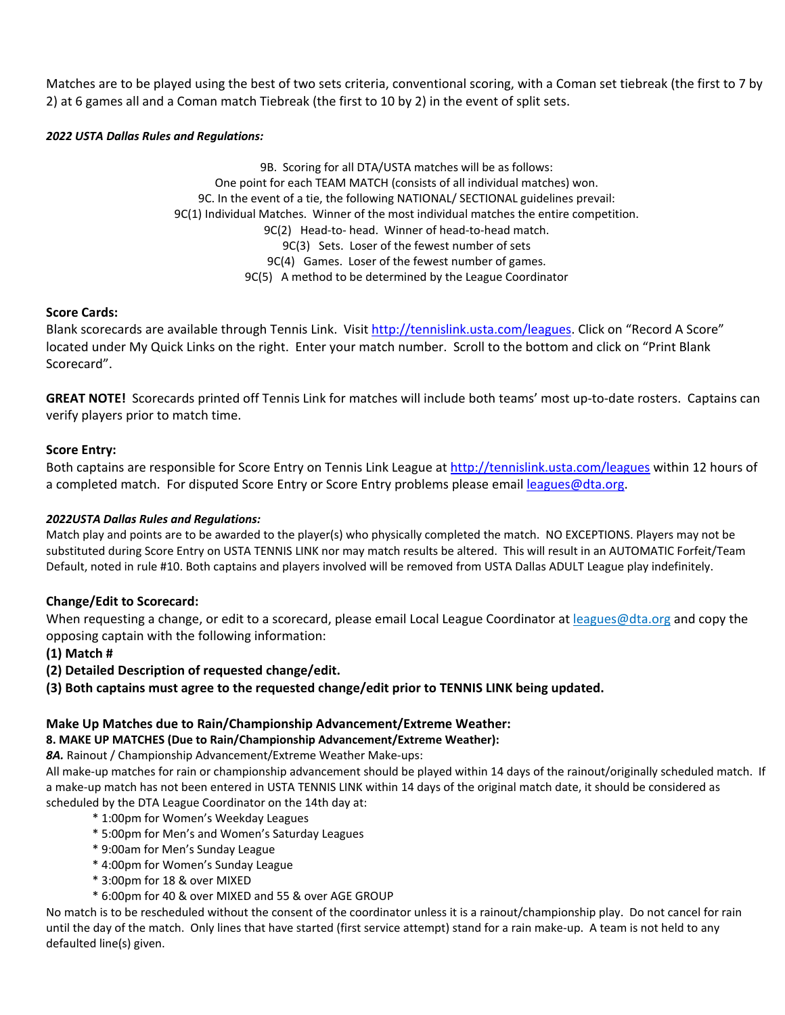Matches are to be played using the best of two sets criteria, conventional scoring, with a Coman set tiebreak (the first to 7 by 2) at 6 games all and a Coman match Tiebreak (the first to 10 by 2) in the event of split sets.

## *2022 USTA Dallas Rules and Regulations:*

9B. Scoring for all DTA/USTA matches will be as follows: One point for each TEAM MATCH (consists of all individual matches) won. 9C. In the event of a tie, the following NATIONAL/ SECTIONAL guidelines prevail: 9C(1) Individual Matches. Winner of the most individual matches the entire competition. 9C(2) Head-to- head. Winner of head-to-head match. 9C(3) Sets. Loser of the fewest number of sets 9C(4) Games. Loser of the fewest number of games. 9C(5) A method to be determined by the League Coordinator

# **Score Cards:**

Blank scorecards are available through Tennis Link. Visit [http://tennislink.usta.com/leagues.](http://tennislink.usta.com/leagues) Click on "Record A Score" located under My Quick Links on the right. Enter your match number. Scroll to the bottom and click on "Print Blank Scorecard".

**GREAT NOTE!** Scorecards printed off Tennis Link for matches will include both teams' most up-to-date rosters. Captains can verify players prior to match time.

# **Score Entry:**

Both captains are responsible for Score Entry on Tennis Link League at<http://tennislink.usta.com/leagues> within 12 hours of a completed match. For disputed Score Entry or Score Entry problems please email [leagues@dta.org.](mailto:leagues@dta.org)

#### *2022USTA Dallas Rules and Regulations:*

Match play and points are to be awarded to the player(s) who physically completed the match. NO EXCEPTIONS. Players may not be substituted during Score Entry on USTA TENNIS LINK nor may match results be altered. This will result in an AUTOMATIC Forfeit/Team Default, noted in rule #10. Both captains and players involved will be removed from USTA Dallas ADULT League play indefinitely.

# **Change/Edit to Scorecard:**

When requesting a change, or edit to a scorecard, please email Local League Coordinator at leagues@dta.org and copy the opposing captain with the following information:

- **(1) Match #**
- **(2) Detailed Description of requested change/edit.**
- **(3) Both captains must agree to the requested change/edit prior to TENNIS LINK being updated.**

#### **Make Up Matches due to Rain/Championship Advancement/Extreme Weather:**

#### **8. MAKE UP MATCHES (Due to Rain/Championship Advancement/Extreme Weather):**

*8A.* Rainout / Championship Advancement/Extreme Weather Make-ups:

All make-up matches for rain or championship advancement should be played within 14 days of the rainout/originally scheduled match. If a make-up match has not been entered in USTA TENNIS LINK within 14 days of the original match date, it should be considered as scheduled by the DTA League Coordinator on the 14th day at:

- \* 1:00pm for Women's Weekday Leagues
- \* 5:00pm for Men's and Women's Saturday Leagues
- \* 9:00am for Men's Sunday League
- \* 4:00pm for Women's Sunday League
- \* 3:00pm for 18 & over MIXED
- \* 6:00pm for 40 & over MIXED and 55 & over AGE GROUP

No match is to be rescheduled without the consent of the coordinator unless it is a rainout/championship play. Do not cancel for rain until the day of the match. Only lines that have started (first service attempt) stand for a rain make-up. A team is not held to any defaulted line(s) given.